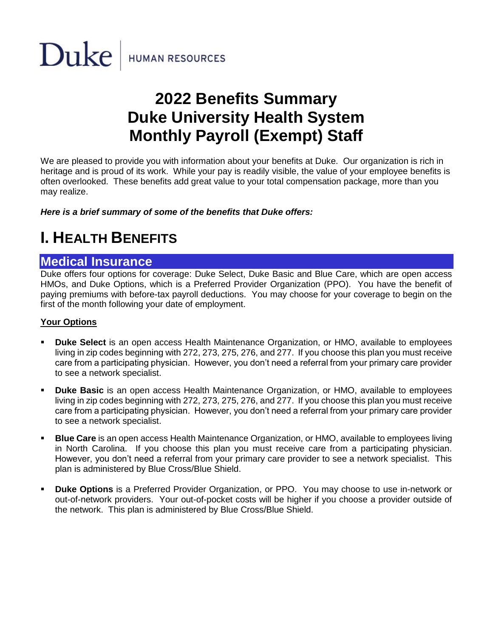

# **2022 Benefits Summary Duke University Health System Monthly Payroll (Exempt) Staff**

We are pleased to provide you with information about your benefits at Duke. Our organization is rich in heritage and is proud of its work. While your pay is readily visible, the value of your employee benefits is often overlooked. These benefits add great value to your total compensation package, more than you may realize.

*Here is a brief summary of some of the benefits that Duke offers:*

# **I. HEALTH BENEFITS**

#### **Medical Insurance**

Duke offers four options for coverage: Duke Select, Duke Basic and Blue Care, which are open access HMOs, and Duke Options, which is a Preferred Provider Organization (PPO). You have the benefit of paying premiums with before-tax payroll deductions. You may choose for your coverage to begin on the first of the month following your date of employment.

#### **Your Options**

- **Duke Select** is an open access Health Maintenance Organization, or HMO, available to employees living in zip codes beginning with 272, 273, 275, 276, and 277. If you choose this plan you must receive care from a participating physician. However, you don't need a referral from your primary care provider to see a network specialist.
- **Duke Basic** is an open access Health Maintenance Organization, or HMO, available to employees living in zip codes beginning with 272, 273, 275, 276, and 277. If you choose this plan you must receive care from a participating physician. However, you don't need a referral from your primary care provider to see a network specialist.
- **E Blue Care** is an open access Health Maintenance Organization, or HMO, available to employees living in North Carolina. If you choose this plan you must receive care from a participating physician. However, you don't need a referral from your primary care provider to see a network specialist. This plan is administered by Blue Cross/Blue Shield.
- **Duke Options** is a Preferred Provider Organization, or PPO. You may choose to use in-network or out-of-network providers. Your out-of-pocket costs will be higher if you choose a provider outside of the network. This plan is administered by Blue Cross/Blue Shield.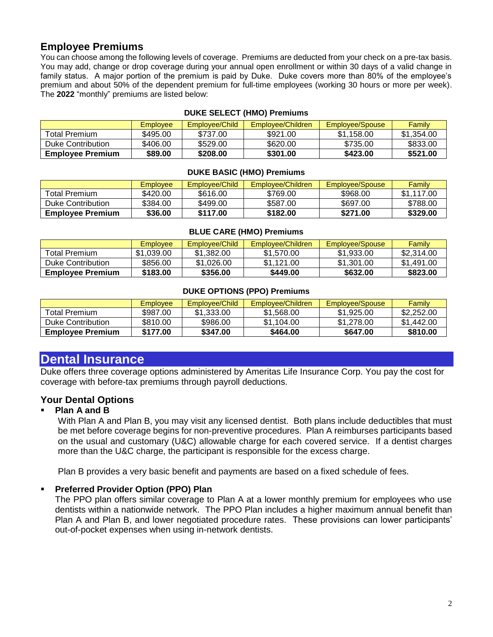#### **Employee Premiums**

You can choose among the following levels of coverage. Premiums are deducted from your check on a pre-tax basis. You may add, change or drop coverage during your annual open enrollment or within 30 days of a valid change in family status. A major portion of the premium is paid by Duke. Duke covers more than 80% of the employee's premium and about 50% of the dependent premium for full-time employees (working 30 hours or more per week). The **2022** "monthly" premiums are listed below:

|                         | <b>Employee</b> | Employee/Child | Employee/Children | Employee/Spouse | Family     |
|-------------------------|-----------------|----------------|-------------------|-----------------|------------|
| <b>Total Premium</b>    | \$495.00        | \$737.00       | \$921.00          | \$1.158.00      | \$1.354.00 |
| Duke Contribution       | \$406.00        | \$529.00       | \$620.00          | \$735.00        | \$833.00   |
| <b>Employee Premium</b> | \$89.00         | \$208.00       | \$301.00          | \$423.00        | \$521.00   |

#### **DUKE SELECT (HMO) Premiums**

#### **DUKE BASIC (HMO) Premiums**

|                         | Employee | Employee/Child | Employee/Children | Employee/Spouse | Family     |
|-------------------------|----------|----------------|-------------------|-----------------|------------|
| Total Premium.          | \$420.00 | \$616.00       | \$769.00          | \$968.00        | \$1.117.00 |
| Duke Contribution       | \$384.00 | \$499.00       | \$587.00          | \$697.00        | \$788.00   |
| <b>Employee Premium</b> | \$36.00  | \$117.00       | \$182.00          | \$271.00        | \$329.00   |

#### **BLUE CARE (HMO) Premiums**

|                         | Emplovee   | Employee/Child | Employee/Children | Employee/Spouse | Family     |
|-------------------------|------------|----------------|-------------------|-----------------|------------|
| Total Premium           | \$1.039.00 | \$1,382.00     | \$1,570.00        | \$1,933.00      | \$2.314.00 |
| Duke Contribution       | \$856.00   | \$1,026,00     | \$1.121.00        | \$1,301.00      | \$1.491.00 |
| <b>Employee Premium</b> | \$183.00   | \$356.00       | \$449.00          | \$632.00        | \$823.00   |

#### **DUKE OPTIONS (PPO) Premiums**

|                         | Employee | Employee/Child | Employee/Children | Employee/Spouse | <b>Family</b> |
|-------------------------|----------|----------------|-------------------|-----------------|---------------|
| Total Premium           | \$987.00 | \$1,333,00     | \$1.568.00        | \$1,925,00      | \$2,252,00    |
| Duke Contribution       | \$810.00 | \$986.00       | \$1.104.00        | \$1,278,00      | \$1.442.00    |
| <b>Employee Premium</b> | \$177.00 | \$347.00       | \$464.00          | \$647.00        | \$810.00      |

## **Dental Insurance**

Duke offers three coverage options administered by Ameritas Life Insurance Corp. You pay the cost for coverage with before-tax premiums through payroll deductions.

#### **Your Dental Options**

#### **Plan A and B**

With Plan A and Plan B, you may visit any licensed dentist. Both plans include deductibles that must be met before coverage begins for non-preventive procedures. Plan A reimburses participants based on the usual and customary (U&C) allowable charge for each covered service. If a dentist charges more than the U&C charge, the participant is responsible for the excess charge.

Plan B provides a very basic benefit and payments are based on a fixed schedule of fees.

#### ▪ **Preferred Provider Option (PPO) Plan**

The PPO plan offers similar coverage to Plan A at a lower monthly premium for employees who use dentists within a nationwide network. The PPO Plan includes a higher maximum annual benefit than Plan A and Plan B, and lower negotiated procedure rates. These provisions can lower participants' out-of-pocket expenses when using in-network dentists.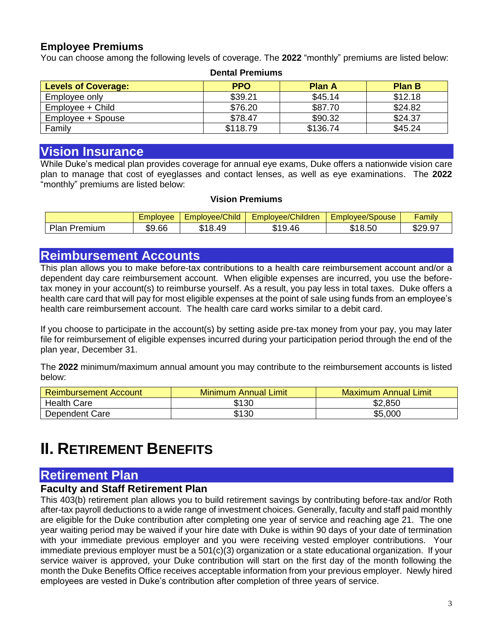#### **Employee Premiums**

You can choose among the following levels of coverage. The **2022** "monthly" premiums are listed below: **Dental Premiums**

| Denial Fielinums           |            |               |               |  |  |  |
|----------------------------|------------|---------------|---------------|--|--|--|
| <b>Levels of Coverage:</b> | <b>PPO</b> | <b>Plan A</b> | <b>Plan B</b> |  |  |  |
| Employee only              | \$39.21    | \$45.14       | \$12.18       |  |  |  |
| Employee + Child           | \$76.20    | \$87.70       | \$24.82       |  |  |  |
| Employee + Spouse          | \$78.47    | \$90.32       | \$24.37       |  |  |  |
| Family                     | \$118.79   | \$136.74      | \$45.24       |  |  |  |

## **Vision Insurance**

While Duke's medical plan provides coverage for annual eye exams, Duke offers a nationwide vision care plan to manage that cost of eyeglasses and contact lenses, as well as eye examinations. The **2022** "monthly" premiums are listed below:

#### **Vision Premiums**

|                         | mplovee | <b>Child</b><br>Emplovee/( | plovee/Children<br>$-mr$ | $\overline{\phantom{0}}$<br><b>ovee/Spouse</b><br>Emplo       | <br>Family                       |
|-------------------------|---------|----------------------------|--------------------------|---------------------------------------------------------------|----------------------------------|
| Plan<br><i>P</i> remium | \$9.66  | 1 O<br>49<br>ັ             | 9.46<br>ጡ ብ<br>۰D        | $\overline{\phantom{0}}$<br>$\sim$<br>mи<br>. .<br>18.5U<br>w | രറെ<br>$\sim$<br>ີ<br>৴<br>ו ש⊾ש |

#### **Reimbursement Accounts**

This plan allows you to make before-tax contributions to a health care reimbursement account and/or a dependent day care reimbursement account. When eligible expenses are incurred, you use the beforetax money in your account(s) to reimburse yourself. As a result, you pay less in total taxes. Duke offers a health care card that will pay for most eligible expenses at the point of sale using funds from an employee's health care reimbursement account. The health care card works similar to a debit card.

If you choose to participate in the account(s) by setting aside pre-tax money from your pay, you may later file for reimbursement of eligible expenses incurred during your participation period through the end of the plan year, December 31.

The **2022** minimum/maximum annual amount you may contribute to the reimbursement accounts is listed below:

| <b>Reimbursement Account</b> | <b>Minimum Annual Limit</b> | <b>Maximum Annual Limit</b> |  |
|------------------------------|-----------------------------|-----------------------------|--|
| <b>Health Care</b>           | \$130                       | \$2,850                     |  |
| Dependent Care               | \$130                       | \$5,000                     |  |

# **II.** RETIREMENT BENEFITS

## **Retirement Plan**

#### **Faculty and Staff Retirement Plan**

This 403(b) retirement plan allows you to build retirement savings by contributing before-tax and/or Roth after-tax payroll deductions to a wide range of investment choices. Generally, faculty and staff paid monthly are eligible for the Duke contribution after completing one year of service and reaching age 21. The one year waiting period may be waived if your hire date with Duke is within 90 days of your date of termination with your immediate previous employer and you were receiving vested employer contributions. Your immediate previous employer must be a 501(c)(3) organization or a state educational organization. If your service waiver is approved, your Duke contribution will start on the first day of the month following the month the Duke Benefits Office receives acceptable information from your previous employer. Newly hired employees are vested in Duke's contribution after completion of three years of service.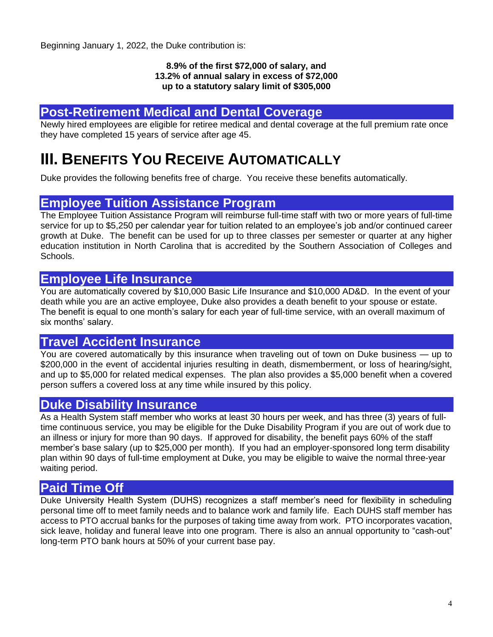Beginning January 1, 2022, the Duke contribution is:

#### **8.9% of the first \$72,000 of salary, and 13.2% of annual salary in excess of \$72,000 up to a statutory salary limit of \$305,000**

## **Post-Retirement Medical and Dental Coverage**

Newly hired employees are eligible for retiree medical and dental coverage at the full premium rate once they have completed 15 years of service after age 45.

# **III. BENEFITS YOU RECEIVE AUTOMATICALLY**

Duke provides the following benefits free of charge. You receive these benefits automatically.

#### **Employee Tuition Assistance Program**

The Employee Tuition Assistance Program will reimburse full-time staff with two or more years of full-time service for up to \$5,250 per calendar year for tuition related to an employee's job and/or continued career growth at Duke. The benefit can be used for up to three classes per semester or quarter at any higher education institution in North Carolina that is accredited by the Southern Association of Colleges and Schools.

## **Employee Life Insurance**

You are automatically covered by \$10,000 Basic Life Insurance and \$10,000 AD&D. In the event of your death while you are an active employee, Duke also provides a death benefit to your spouse or estate. The benefit is equal to one month's salary for each year of full-time service, with an overall maximum of six months' salary.

## **Travel Accident Insurance**

You are covered automatically by this insurance when traveling out of town on Duke business — up to \$200,000 in the event of accidental injuries resulting in death, dismemberment, or loss of hearing/sight, and up to \$5,000 for related medical expenses. The plan also provides a \$5,000 benefit when a covered person suffers a covered loss at any time while insured by this policy.

## **Duke Disability Insurance**

As a Health System staff member who works at least 30 hours per week, and has three (3) years of fulltime continuous service, you may be eligible for the Duke Disability Program if you are out of work due to an illness or injury for more than 90 days. If approved for disability, the benefit pays 60% of the staff member's base salary (up to \$25,000 per month). If you had an employer-sponsored long term disability plan within 90 days of full-time employment at Duke, you may be eligible to waive the normal three-year waiting period.

## **Paid Time Off**

Duke University Health System (DUHS) recognizes a staff member's need for flexibility in scheduling personal time off to meet family needs and to balance work and family life. Each DUHS staff member has access to PTO accrual banks for the purposes of taking time away from work. PTO incorporates vacation, sick leave, holiday and funeral leave into one program. There is also an annual opportunity to "cash-out" long-term PTO bank hours at 50% of your current base pay.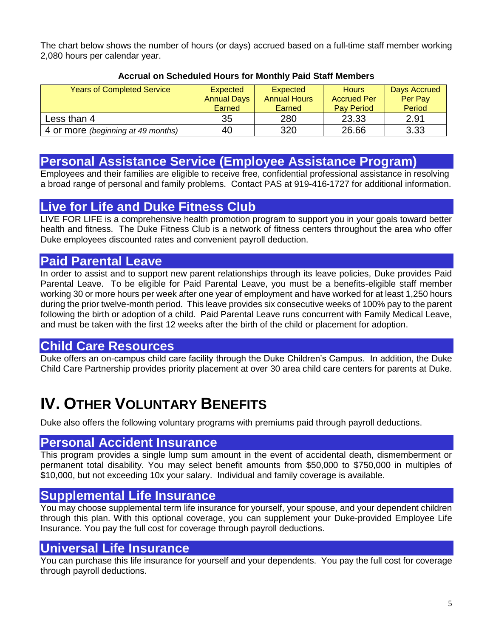The chart below shows the number of hours (or days) accrued based on a full-time staff member working 2,080 hours per calendar year.

| <b>Years of Completed Service</b>  | <b>Expected</b><br><b>Annual Days</b><br>Earned | <b>Expected</b><br><b>Annual Hours</b><br>Earned | <b>Hours</b><br><b>Accrued Per</b><br><b>Pay Period</b> | Days Accrued<br>Per Pay<br>Period |
|------------------------------------|-------------------------------------------------|--------------------------------------------------|---------------------------------------------------------|-----------------------------------|
| Less than 4                        | 35                                              | 280                                              | 23.33                                                   | 2.91                              |
| 4 or more (beginning at 49 months) | 40                                              | 320                                              | 26.66                                                   | 3.33                              |

#### **Accrual on Scheduled Hours for Monthly Paid Staff Members**

## **Personal Assistance Service (Employee Assistance Program)**

Employees and their families are eligible to receive free, confidential professional assistance in resolving a broad range of personal and family problems. Contact PAS at 919-416-1727 for additional information.

# **Live for Life and Duke Fitness Club**

LIVE FOR LIFE is a comprehensive health promotion program to support you in your goals toward better health and fitness. The Duke Fitness Club is a network of fitness centers throughout the area who offer Duke employees discounted rates and convenient payroll deduction.

# **Paid Parental Leave**

In order to assist and to support new parent relationships through its leave policies, Duke provides Paid Parental Leave. To be eligible for Paid Parental Leave, you must be a benefits-eligible staff member working 30 or more hours per week after one year of employment and have worked for at least 1,250 hours during the prior twelve-month period. This leave provides six consecutive weeks of 100% pay to the parent following the birth or adoption of a child. Paid Parental Leave runs concurrent with Family Medical Leave, and must be taken with the first 12 weeks after the birth of the child or placement for adoption.

# **Child Care Resources**

Duke offers an on-campus child care facility through the Duke Children's Campus. In addition, the Duke Child Care Partnership provides priority placement at over 30 area child care centers for parents at Duke.

# **IV. OTHER VOLUNTARY BENEFITS**

Duke also offers the following voluntary programs with premiums paid through payroll deductions.

## **Personal Accident Insurance**

This program provides a single lump sum amount in the event of accidental death, dismemberment or permanent total disability. You may select benefit amounts from \$50,000 to \$750,000 in multiples of \$10,000, but not exceeding 10x your salary. Individual and family coverage is available.

# **Supplemental Life Insurance**

You may choose supplemental term life insurance for yourself, your spouse, and your dependent children through this plan. With this optional coverage, you can supplement your Duke-provided Employee Life Insurance. You pay the full cost for coverage through payroll deductions.

## **Universal Life Insurance**

You can purchase this life insurance for yourself and your dependents. You pay the full cost for coverage through payroll deductions.